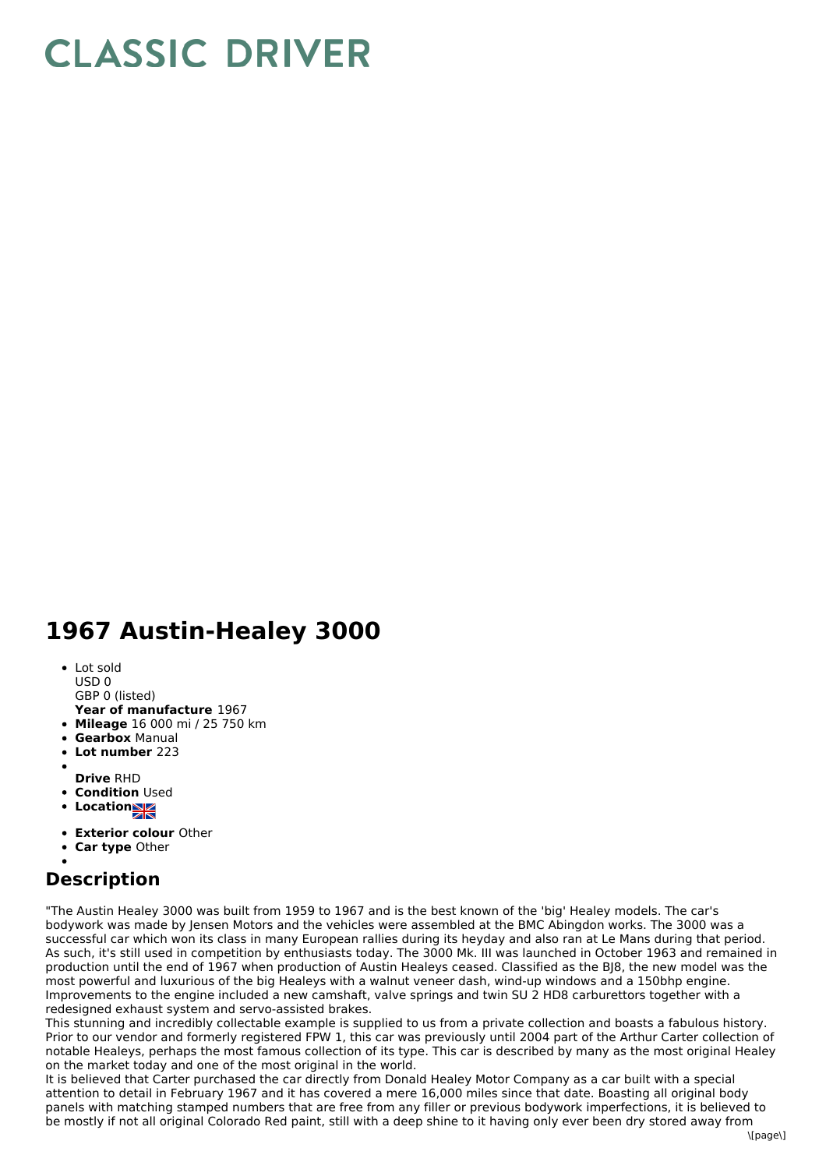## **CLASSIC DRIVER**

## **1967 Austin-Healey 3000**

- Lot sold
- USD 0
- GBP 0 (listed)
- **Year of manufacture** 1967
- **Mileage** 16 000 mi / 25 750 km
- **Gearbox** Manual
- **Lot number** 223
- **Drive** RHD
- **Condition Used**
- **Locations**
- 
- **Exterior colour** Other
- **Car type** Other

## **Description**

"The Austin Healey 3000 was built from 1959 to 1967 and is the best known of the 'big' Healey models. The car's bodywork was made by Jensen Motors and the vehicles were assembled at the BMC Abingdon works. The 3000 was a successful car which won its class in many European rallies during its heyday and also ran at Le Mans during that period. As such, it's still used in competition by enthusiasts today. The 3000 Mk. III was launched in October 1963 and remained in production until the end of 1967 when production of Austin Healeys ceased. Classified as the BJ8, the new model was the most powerful and luxurious of the big Healeys with a walnut veneer dash, wind-up windows and a 150bhp engine. Improvements to the engine included a new camshaft, valve springs and twin SU 2 HD8 carburettors together with a redesigned exhaust system and servo-assisted brakes.

This stunning and incredibly collectable example is supplied to us from a private collection and boasts a fabulous history. Prior to our vendor and formerly registered FPW 1, this car was previously until 2004 part of the Arthur Carter collection of notable Healeys, perhaps the most famous collection of its type. This car is described by many as the most original Healey on the market today and one of the most original in the world.

It is believed that Carter purchased the car directly from Donald Healey Motor Company as a car built with a special attention to detail in February 1967 and it has covered a mere 16,000 miles since that date. Boasting all original body panels with matching stamped numbers that are free from any filler or previous bodywork imperfections, it is believed to be mostly if not all original Colorado Red paint, still with a deep shine to it having only ever been dry stored away from